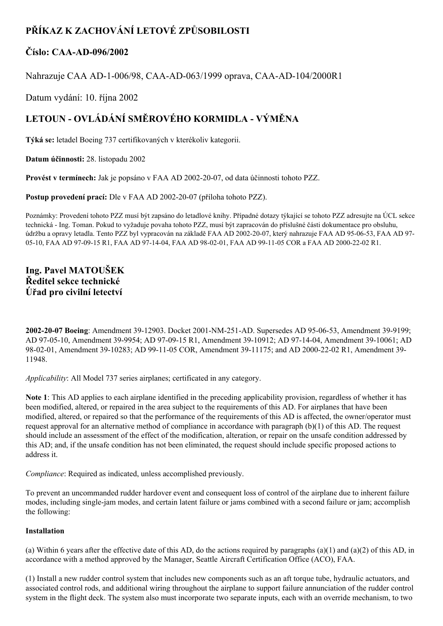# **PŘÍKAZ K ZACHOVÁNÍ LETOVÉ ZPŮSOBILOSTI**

### **Číslo: CAAAD096/2002**

Nahrazuje CAA AD-1-006/98, CAA-AD-063/1999 oprava, CAA-AD-104/2000R1

Datum vydání: 10. října 2002

# **LETOUN OVLÁDÁNÍ SMĚROVÉHO KORMIDLA VÝMĚNA**

**Týká se:** letadel Boeing 737 certifikovaných v kterékoliv kategorii.

**Datum účinnosti:** 28. listopadu 2002

**Provést v termínech:** Jak je popsáno v FAA AD 20022007, od data účinnosti tohoto PZZ.

**Postup provedení prací:** Dle v FAA AD 2002-20-07 (příloha tohoto PZZ).

Poznámky: Provedení tohoto PZZ musí být zapsáno do letadlové knihy. Případné dotazy týkající se tohoto PZZ adresujte na ÚCL sekce technická Ing. Toman. Pokud to vyžaduje povaha tohoto PZZ, musí být zapracován do příslušné části dokumentace pro obsluhu, údržbu a opravy letadla. Tento PZZ byl vypracován na základě FAA AD 2002-20-07, který nahrazuje FAA AD 95-06-53, FAA AD 97-05-10, FAA AD 97-09-15 R1, FAA AD 97-14-04, FAA AD 98-02-01, FAA AD 99-11-05 COR a FAA AD 2000-22-02 R1.

### **Ing. Pavel MATOUŠEK Ředitel sekce technické Úřad pro civilní letectví**

**2002-20-07 Boeing**: Amendment 39-12903. Docket 2001-NM-251-AD. Supersedes AD 95-06-53, Amendment 39-9199; AD 97-05-10, Amendment 39-9954; AD 97-09-15 R1, Amendment 39-10912; AD 97-14-04, Amendment 39-10061; AD 98-02-01, Amendment 39-10283; AD 99-11-05 COR, Amendment 39-11175; and AD 2000-22-02 R1, Amendment 39-11948.

*Applicability*: All Model 737 series airplanes; certificated in any category.

**Note 1**: This AD applies to each airplane identified in the preceding applicability provision, regardless of whether it has been modified, altered, or repaired in the area subject to the requirements of this AD. For airplanes that have been modified, altered, or repaired so that the performance of the requirements of this AD is affected, the owner/operator must request approval for an alternative method of compliance in accordance with paragraph (b)(1) of this AD. The request should include an assessment of the effect of the modification, alteration, or repair on the unsafe condition addressed by this AD; and, if the unsafe condition has not been eliminated, the request should include specific proposed actions to address it.

*Compliance*: Required as indicated, unless accomplished previously.

To prevent an uncommanded rudder hardover event and consequent loss of control of the airplane due to inherent failure modes, including single-jam modes, and certain latent failure or jams combined with a second failure or jam; accomplish the following:

#### **Installation**

(a) Within 6 years after the effective date of this AD, do the actions required by paragraphs (a)(1) and (a)(2) of this AD, in accordance with a method approved by the Manager, Seattle Aircraft Certification Office (ACO), FAA.

(1) Install a new rudder control system that includes new components such as an aft torque tube, hydraulic actuators, and associated control rods, and additional wiring throughout the airplane to support failure annunciation of the rudder control system in the flight deck. The system also must incorporate two separate inputs, each with an override mechanism, to two